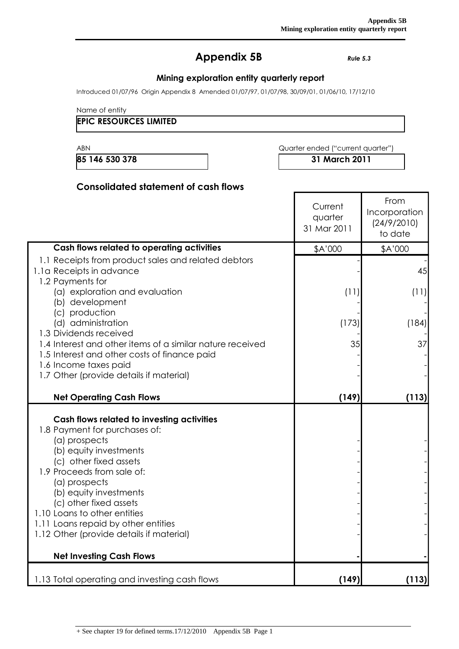# **Appendix 5B** *Rule 5.3*

## **Mining exploration entity quarterly report**

Introduced 01/07/96 Origin Appendix 8 Amended 01/07/97, 01/07/98, 30/09/01, 01/06/10, 17/12/10

Name of entity

#### **EPIC RESOURCES LIMITED**

ABN **ABN** Quarter ended ("current quarter")

**85 146 530 378 31 March 2011**

## **Consolidated statement of cash flows**

|                                                                                                                                                                                                                                                                                                                                                                                                           | Current<br>quarter<br>31 Mar 2011 | From<br>Incorporation<br>(24/9/2010)<br>to date |
|-----------------------------------------------------------------------------------------------------------------------------------------------------------------------------------------------------------------------------------------------------------------------------------------------------------------------------------------------------------------------------------------------------------|-----------------------------------|-------------------------------------------------|
| Cash flows related to operating activities                                                                                                                                                                                                                                                                                                                                                                | \$A'000                           | \$A'000                                         |
| 1.1 Receipts from product sales and related debtors<br>1.1a Receipts in advance<br>1.2 Payments for                                                                                                                                                                                                                                                                                                       |                                   | 45                                              |
| (a) exploration and evaluation<br>(b) development<br>(c) production                                                                                                                                                                                                                                                                                                                                       | (11)                              | (11)                                            |
| (d) administration<br>1.3 Dividends received                                                                                                                                                                                                                                                                                                                                                              | (173)                             | (184)                                           |
| 1.4 Interest and other items of a similar nature received<br>1.5 Interest and other costs of finance paid<br>1.6 Income taxes paid                                                                                                                                                                                                                                                                        | 35                                | 37                                              |
| 1.7 Other (provide details if material)                                                                                                                                                                                                                                                                                                                                                                   |                                   |                                                 |
| <b>Net Operating Cash Flows</b>                                                                                                                                                                                                                                                                                                                                                                           | (149)                             | (113)                                           |
| Cash flows related to investing activities<br>1.8 Payment for purchases of:<br>(a) prospects<br>(b) equity investments<br>(c) other fixed assets<br>1.9 Proceeds from sale of:<br>(a) prospects<br>(b) equity investments<br>(c) other fixed assets<br>1.10 Loans to other entities<br>1.11 Loans repaid by other entities<br>1.12 Other (provide details if material)<br><b>Net Investing Cash Flows</b> |                                   |                                                 |
| 1.13 Total operating and investing cash flows                                                                                                                                                                                                                                                                                                                                                             | (149)                             | (113)                                           |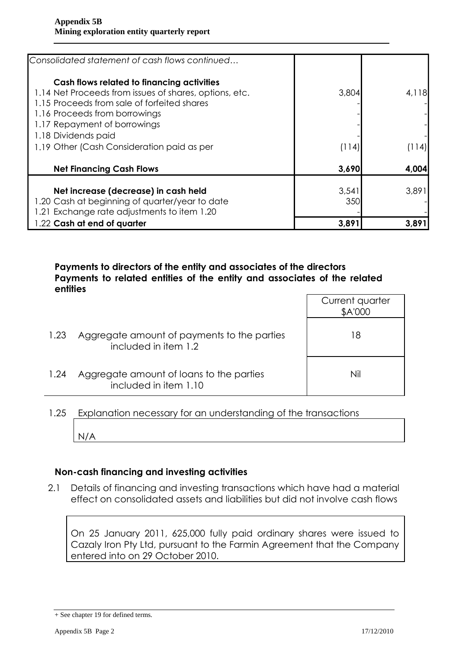| Consolidated statement of cash flows continued                                                                                                                                                                                                                                            |                |               |
|-------------------------------------------------------------------------------------------------------------------------------------------------------------------------------------------------------------------------------------------------------------------------------------------|----------------|---------------|
| Cash flows related to financing activities<br>1.14 Net Proceeds from issues of shares, options, etc.<br>1.15 Proceeds from sale of forfeited shares<br>1.16 Proceeds from borrowings<br>1.17 Repayment of borrowings<br>1.18 Dividends paid<br>1.19 Other (Cash Consideration paid as per | 3,804<br>(114) | 4,118<br> 114 |
| <b>Net Financing Cash Flows</b>                                                                                                                                                                                                                                                           | 3,690          | 4,004         |
| Net increase (decrease) in cash held<br>1.20 Cash at beginning of quarter/year to date<br>1.21 Exchange rate adjustments to item 1.20                                                                                                                                                     | 3,541<br>350   | 3,891         |
| 1.22 Cash at end of quarter                                                                                                                                                                                                                                                               | 3,891          | 3,891         |

## **Payments to directors of the entity and associates of the directors Payments to related entities of the entity and associates of the related entities**

|      |                                                                     | Current quarter<br>\$A'000 |
|------|---------------------------------------------------------------------|----------------------------|
| 1.23 | Aggregate amount of payments to the parties<br>included in item 1.2 | 18                         |
| 1.24 | Aggregate amount of loans to the parties<br>included in item 1.10   | Nil                        |

# 1.25 Explanation necessary for an understanding of the transactions

N/A

# **Non-cash financing and investing activities**

2.1 Details of financing and investing transactions which have had a material effect on consolidated assets and liabilities but did not involve cash flows

On 25 January 2011, 625,000 fully paid ordinary shares were issued to Cazaly Iron Pty Ltd, pursuant to the Farmin Agreement that the Company entered into on 29 October 2010.

<sup>+</sup> See chapter 19 for defined terms.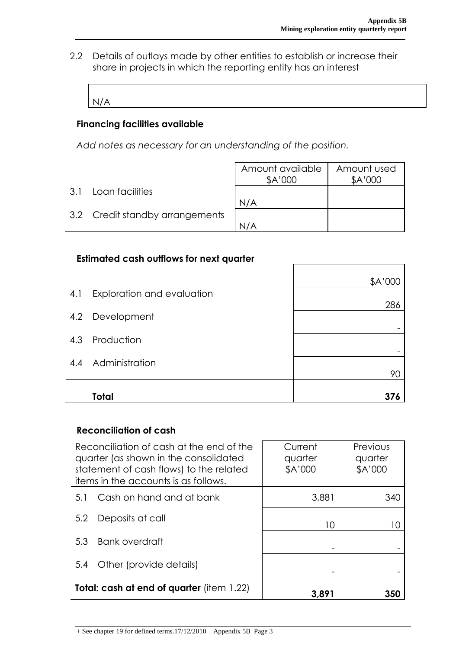٦

2.2 Details of outlays made by other entities to establish or increase their share in projects in which the reporting entity has an interest

```
N/A
```
 $\Gamma$ 

# **Financing facilities available**

*Add notes as necessary for an understanding of the position.*

|     |                                 | Amount available<br>\$A'000 | Amount used<br>\$A'000 |
|-----|---------------------------------|-----------------------------|------------------------|
| 3.1 | Loan facilities                 |                             |                        |
|     |                                 | N/A                         |                        |
|     | 3.2 Credit standby arrangements |                             |                        |
|     |                                 | N/A                         |                        |

#### **Estimated cash outflows for next quarter**

|     | Total                      |         |
|-----|----------------------------|---------|
|     | 4.4 Administration         | 90      |
|     | 4.3 Production             |         |
|     | 4.2 Development            |         |
| 4.1 | Exploration and evaluation | 286     |
|     |                            | \$A'000 |

#### **Reconciliation of cash**

| Reconciliation of cash at the end of the<br>quarter (as shown in the consolidated<br>statement of cash flows) to the related<br>items in the accounts is as follows. |                          | Current<br>quarter<br>\$A'000 | Previous<br>quarter<br>\$A'000 |  |
|----------------------------------------------------------------------------------------------------------------------------------------------------------------------|--------------------------|-------------------------------|--------------------------------|--|
| 5.1                                                                                                                                                                  | Cash on hand and at bank | 3,881                         | 340                            |  |
| 5.2                                                                                                                                                                  | Deposits at call         | 10                            |                                |  |
| 5.3                                                                                                                                                                  | Bank overdraft           |                               |                                |  |
| 5.4                                                                                                                                                                  | Other (provide details)  |                               |                                |  |
| <b>Total: cash at end of quarter</b> (item 1.22)                                                                                                                     |                          | 3,891                         | 350                            |  |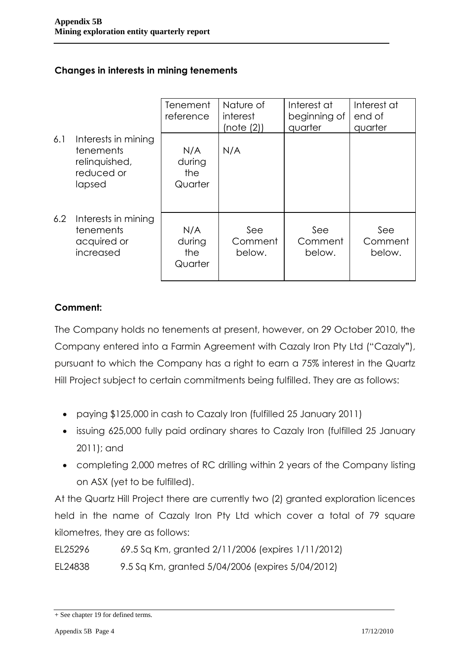# **Changes in interests in mining tenements**

|     |                                                                           | Tenement<br>reference           | Nature of<br>interest<br>(note (2)) | Interest at<br>beginning of<br>quarter | Interest at<br>end of<br>quarter |
|-----|---------------------------------------------------------------------------|---------------------------------|-------------------------------------|----------------------------------------|----------------------------------|
| 6.1 | Interests in mining<br>tenements<br>relinquished,<br>reduced or<br>lapsed | N/A<br>during<br>the<br>Quarter | N/A                                 |                                        |                                  |
| 6.2 | Interests in mining<br>tenements<br>acquired or<br>increased              | N/A<br>during<br>the<br>Quarter | See<br>Comment<br>below.            | See<br>Comment<br>below.               | See<br>Comment<br>below.         |

# **Comment:**

The Company holds no tenements at present, however, on 29 October 2010, the Company entered into a Farmin Agreement with Cazaly Iron Pty Ltd ("Cazaly**"**), pursuant to which the Company has a right to earn a 75% interest in the Quartz Hill Project subject to certain commitments being fulfilled. They are as follows:

- paying \$125,000 in cash to Cazaly Iron (fulfilled 25 January 2011)
- issuing 625,000 fully paid ordinary shares to Cazaly Iron (fulfilled 25 January 2011); and
- completing 2,000 metres of RC drilling within 2 years of the Company listing on ASX (yet to be fulfilled).

At the Quartz Hill Project there are currently two (2) granted exploration licences held in the name of Cazaly Iron Pty Ltd which cover a total of 79 square kilometres, they are as follows:

EL25296 69.5 Sq Km, granted 2/11/2006 (expires 1/11/2012)

EL24838 9.5 Sq Km, granted 5/04/2006 (expires 5/04/2012)

<sup>+</sup> See chapter 19 for defined terms.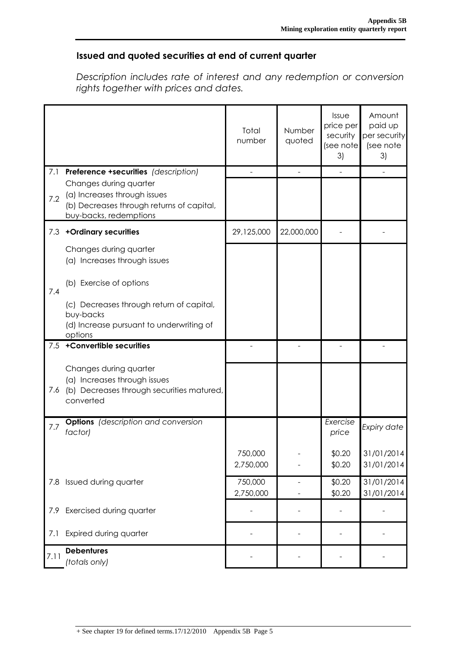## **Issued and quoted securities at end of current quarter**

*Description includes rate of interest and any redemption or conversion rights together with prices and dates.*

|      |                                                                                                                               | Total<br>number | Number<br>quoted | Issue<br>price per<br>security<br>(see note<br>3) | Amount<br>paid up<br>per security<br>(see note<br>3) |
|------|-------------------------------------------------------------------------------------------------------------------------------|-----------------|------------------|---------------------------------------------------|------------------------------------------------------|
| 7.1  | <b>Preference +securities</b> (description)                                                                                   |                 |                  |                                                   |                                                      |
| 7.2  | Changes during quarter<br>(a) Increases through issues<br>(b) Decreases through returns of capital,<br>buy-backs, redemptions |                 |                  |                                                   |                                                      |
| 7.3  | +Ordinary securities                                                                                                          | 29,125,000      | 22,000,000       |                                                   |                                                      |
|      | Changes during quarter<br>(a) Increases through issues                                                                        |                 |                  |                                                   |                                                      |
| 7.4  | (b) Exercise of options                                                                                                       |                 |                  |                                                   |                                                      |
|      | (c) Decreases through return of capital,                                                                                      |                 |                  |                                                   |                                                      |
|      | buy-backs<br>(d) Increase pursuant to underwriting of                                                                         |                 |                  |                                                   |                                                      |
|      | options                                                                                                                       |                 |                  |                                                   |                                                      |
| 7.5  | +Convertible securities                                                                                                       |                 |                  |                                                   |                                                      |
| 7.6  | Changes during quarter<br>(a) Increases through issues<br>(b) Decreases through securities matured,<br>converted              |                 |                  |                                                   |                                                      |
| 7.7  | <b>Options</b> (description and conversion<br>factor)                                                                         |                 |                  | Exercise<br>price                                 | Expiry date                                          |
|      |                                                                                                                               | 750,000         |                  | \$0.20                                            | 31/01/2014                                           |
|      |                                                                                                                               | 2,750,000       |                  | \$0.20                                            | 31/01/2014                                           |
| 7.8  | Issued during quarter                                                                                                         | 750,000         | $\overline{a}$   | \$0.20                                            | 31/01/2014                                           |
|      |                                                                                                                               | 2,750,000       |                  | \$0.20                                            | 31/01/2014                                           |
| 7.9  | Exercised during quarter                                                                                                      |                 |                  |                                                   |                                                      |
| 7.1  | Expired during quarter                                                                                                        |                 |                  |                                                   |                                                      |
| 7.11 | <b>Debentures</b><br>(totals only)                                                                                            |                 |                  |                                                   |                                                      |